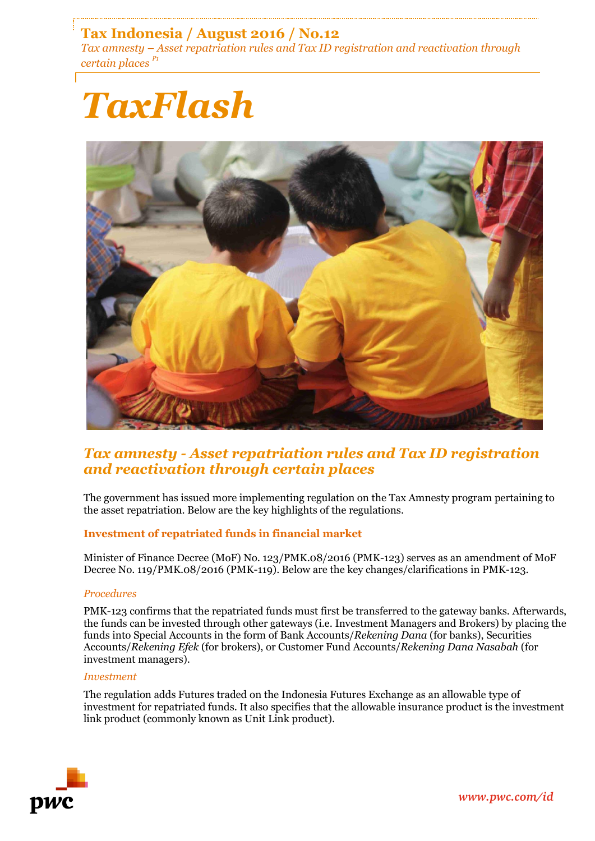# **Tax Indonesia / August 2016 / No.12**

*Tax amnesty – Asset repatriation rules and Tax ID registration and reactivation through certain places P1*

# *TaxFlash*



# *Tax amnesty - Asset repatriation rules and Tax ID registration and reactivation through certain places*

The government has issued more implementing regulation on the Tax Amnesty program pertaining to the asset repatriation. Below are the key highlights of the regulations.

## **Investment of repatriated funds in financial market**

Minister of Finance Decree (MoF) No. 123/PMK.08/2016 (PMK-123) serves as an amendment of MoF Decree No. 119/PMK.08/2016 (PMK-119). Below are the key changes/clarifications in PMK-123.

#### *Procedures*

PMK-123 confirms that the repatriated funds must first be transferred to the gateway banks. Afterwards, the funds can be invested through other gateways (i.e. Investment Managers and Brokers) by placing the funds into Special Accounts in the form of Bank Accounts/*Rekening Dana* (for banks), Securities Accounts/*Rekening Efek* (for brokers), or Customer Fund Accounts/*Rekening Dana Nasabah* (for investment managers).

#### *Investment*

The regulation adds Futures traded on the Indonesia Futures Exchange as an allowable type of investment for repatriated funds. It also specifies that the allowable insurance product is the investment link product (commonly known as Unit Link product).

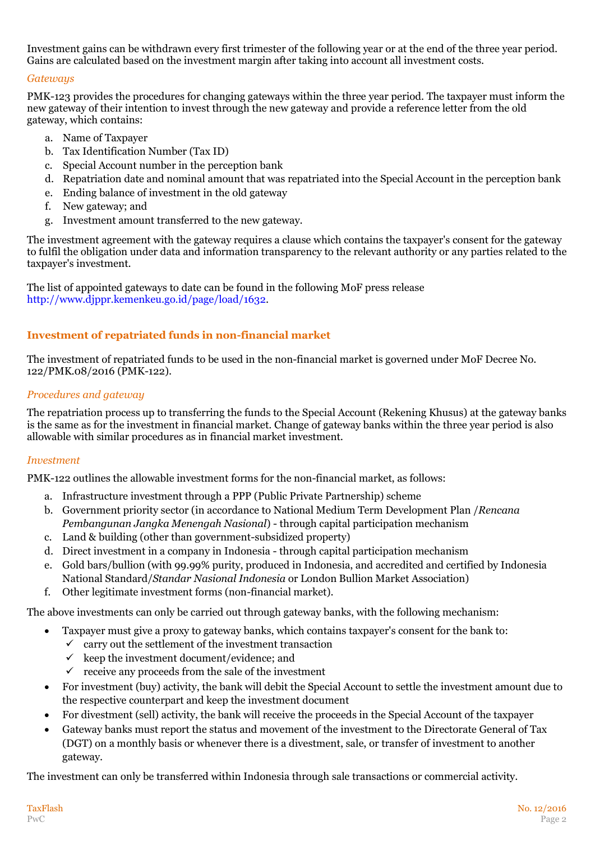Investment gains can be withdrawn every first trimester of the following year or at the end of the three year period. Gains are calculated based on the investment margin after taking into account all investment costs.

## *Gateways*

PMK-123 provides the procedures for changing gateways within the three year period. The taxpayer must inform the new gateway of their intention to invest through the new gateway and provide a reference letter from the old gateway, which contains:

- a. Name of Taxpayer
- b. Tax Identification Number (Tax ID)
- c. Special Account number in the perception bank
- d. Repatriation date and nominal amount that was repatriated into the Special Account in the perception bank
- e. Ending balance of investment in the old gateway
- f. New gateway; and
- g. Investment amount transferred to the new gateway.

The investment agreement with the gateway requires a clause which contains the taxpayer's consent for the gateway to fulfil the obligation under data and information transparency to the relevant authority or any parties related to the taxpayer's investment.

The list of appointed gateways to date can be found in the following MoF press release [http://www.djppr.kemenkeu.go.id/page/load/1632.](http://www.djppr.kemenkeu.go.id/page/load/1632)

## **Investment of repatriated funds in non-financial market**

The investment of repatriated funds to be used in the non-financial market is governed under MoF Decree No. 122/PMK.08/2016 (PMK-122).

#### *Procedures and gateway*

The repatriation process up to transferring the funds to the Special Account (Rekening Khusus) at the gateway banks is the same as for the investment in financial market. Change of gateway banks within the three year period is also allowable with similar procedures as in financial market investment.

#### *Investment*

PMK-122 outlines the allowable investment forms for the non-financial market, as follows:

- a. Infrastructure investment through a PPP (Public Private Partnership) scheme
- b. Government priority sector (in accordance to National Medium Term Development Plan /*Rencana Pembangunan Jangka Menengah Nasional*) - through capital participation mechanism
- c. Land & building (other than government-subsidized property)
- d. Direct investment in a company in Indonesia through capital participation mechanism
- e. Gold bars/bullion (with 99.99% purity, produced in Indonesia, and accredited and certified by Indonesia National Standard/*Standar Nasional Indonesia* or London Bullion Market Association)
- f. Other legitimate investment forms (non-financial market).

The above investments can only be carried out through gateway banks, with the following mechanism:

- Taxpayer must give a proxy to gateway banks, which contains taxpayer's consent for the bank to:
	- $\checkmark$  carry out the settlement of the investment transaction
		- $\checkmark$  keep the investment document/evidence; and
		- $\checkmark$  receive any proceeds from the sale of the investment
- For investment (buy) activity, the bank will debit the Special Account to settle the investment amount due to the respective counterpart and keep the investment document
- For divestment (sell) activity, the bank will receive the proceeds in the Special Account of the taxpayer
- Gateway banks must report the status and movement of the investment to the Directorate General of Tax (DGT) on a monthly basis or whenever there is a divestment, sale, or transfer of investment to another gateway.

The investment can only be transferred within Indonesia through sale transactions or commercial activity.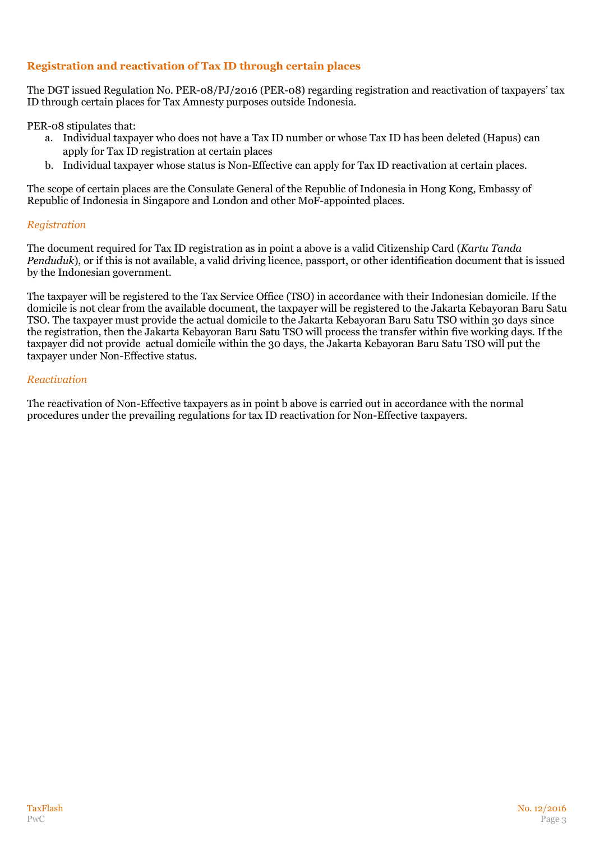# **Registration and reactivation of Tax ID through certain places**

The DGT issued Regulation No. PER-08/PJ/2016 (PER-08) regarding registration and reactivation of taxpayers' tax ID through certain places for Tax Amnesty purposes outside Indonesia.

PER-08 stipulates that:

- a. Individual taxpayer who does not have a Tax ID number or whose Tax ID has been deleted (Hapus) can apply for Tax ID registration at certain places
- b. Individual taxpayer whose status is Non-Effective can apply for Tax ID reactivation at certain places.

The scope of certain places are the Consulate General of the Republic of Indonesia in Hong Kong, Embassy of Republic of Indonesia in Singapore and London and other MoF-appointed places.

#### *Registration*

The document required for Tax ID registration as in point a above is a valid Citizenship Card (*Kartu Tanda Penduduk*), or if this is not available, a valid driving licence, passport, or other identification document that is issued by the Indonesian government.

The taxpayer will be registered to the Tax Service Office (TSO) in accordance with their Indonesian domicile. If the domicile is not clear from the available document, the taxpayer will be registered to the Jakarta Kebayoran Baru Satu TSO. The taxpayer must provide the actual domicile to the Jakarta Kebayoran Baru Satu TSO within 30 days since the registration, then the Jakarta Kebayoran Baru Satu TSO will process the transfer within five working days. If the taxpayer did not provide actual domicile within the 30 days, the Jakarta Kebayoran Baru Satu TSO will put the taxpayer under Non-Effective status.

#### *Reactivation*

The reactivation of Non-Effective taxpayers as in point b above is carried out in accordance with the normal procedures under the prevailing regulations for tax ID reactivation for Non-Effective taxpayers.